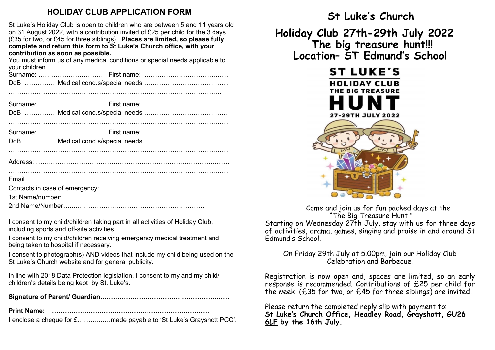## **HOLIDAY CLUB APPLICATION FORM**

St Luke's Holiday Club is open to children who are between 5 and 11 years old on 31 August 2022, with a contribution invited of £25 per child for the 3 days. (£35 for two, or £45 for three siblings). **Places are limited, so please fully complete and return this form to St Luke's Church office, with your contribution as soon as possible.**

You must inform us of any medical conditions or special needs applicable to your children.

| your villiaren.                |
|--------------------------------|
|                                |
|                                |
|                                |
|                                |
| Contacts in case of emergency: |
|                                |
|                                |

I consent to my child/children taking part in all activities of Holiday Club, including sports and off-site activities.

I consent to my child/children receiving emergency medical treatment and being taken to hospital if necessary.

I consent to photograph(s) AND videos that include my child being used on the St Luke's Church website and for general publicity.

In line with 2018 Data Protection legislation, I consent to my and my child/ children's details being kept by St. Luke's.

**Signature of Parent/ Guardian……………………………………………………**

**Print Name: ……………………………………………………………….**

I enclose a cheque for £………...….made payable to 'St Luke's Grayshott PCC'.

 **St Luke's Church Holiday Club 27th-29th July 2022 The big treasure hunt!!! Location– ST Edmund's School** 



Come and join us for fun packed days at the "The Big Treasure Hunt " Starting on Wednesday 27th July, stay with us for three days of activities, drama, games, singing and praise in and around St Edmund's School.

### On Friday 29th July at 5.00pm, join our Holiday Club Celebration and Barbecue.

Registration is now open and, spaces are limited, so an early response is recommended. Contributions of £25 per child for the week (£35 for two, or £45 for three siblings) are invited.

Please return the completed reply slip with payment to: **St Luke's Church Office, Headley Road, Grayshott, GU26 6LF by the 16th July.**